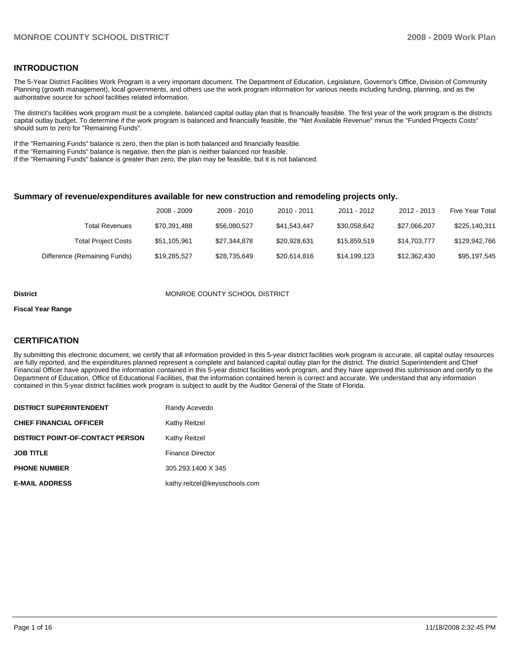## **INTRODUCTION**

The 5-Year District Facilities Work Program is a very important document. The Department of Education, Legislature, Governor's Office, Division of Community Planning (growth management), local governments, and others use the work program information for various needs including funding, planning, and as the authoritative source for school facilities related information.

The district's facilities work program must be a complete, balanced capital outlay plan that is financially feasible. The first year of the work program is the districts capital outlay budget. To determine if the work program is balanced and financially feasible, the "Net Available Revenue" minus the "Funded Projects Costs" should sum to zero for "Remaining Funds".

If the "Remaining Funds" balance is zero, then the plan is both balanced and financially feasible.

If the "Remaining Funds" balance is negative, then the plan is neither balanced nor feasible.

If the "Remaining Funds" balance is greater than zero, the plan may be feasible, but it is not balanced.

#### **Summary of revenue/expenditures available for new construction and remodeling projects only.**

|                              | 2008 - 2009  | 2009 - 2010  | $2010 - 2011$ | 2011 - 2012  | 2012 - 2013  | Five Year Total |
|------------------------------|--------------|--------------|---------------|--------------|--------------|-----------------|
| Total Revenues               | \$70,391,488 | \$56.080.527 | \$41.543.447  | \$30.058.642 | \$27,066,207 | \$225,140,311   |
| <b>Total Project Costs</b>   | \$51,105,961 | \$27.344.878 | \$20.928.631  | \$15,859,519 | \$14,703,777 | \$129.942.766   |
| Difference (Remaining Funds) | \$19,285,527 | \$28,735,649 | \$20,614,816  | \$14,199,123 | \$12,362,430 | \$95,197,545    |

#### **District COUNTY SCHOOL DISTRICT**

#### **Fiscal Year Range**

#### **CERTIFICATION**

By submitting this electronic document, we certify that all information provided in this 5-year district facilities work program is accurate, all capital outlay resources are fully reported, and the expenditures planned represent a complete and balanced capital outlay plan for the district. The district Superintendent and Chief Financial Officer have approved the information contained in this 5-year district facilities work program, and they have approved this submission and certify to the Department of Education, Office of Educational Facilities, that the information contained herein is correct and accurate. We understand that any information contained in this 5-year district facilities work program is subject to audit by the Auditor General of the State of Florida.

| <b>DISTRICT SUPERINTENDENT</b>          | Randy Acevedo                 |
|-----------------------------------------|-------------------------------|
| <b>CHIEF FINANCIAL OFFICER</b>          | Kathy Reitzel                 |
| <b>DISTRICT POINT-OF-CONTACT PERSON</b> | <b>Kathy Reitzel</b>          |
| <b>JOB TITLE</b>                        | <b>Finance Director</b>       |
| <b>PHONE NUMBER</b>                     | 305.293.1400 X 345            |
| <b>E-MAIL ADDRESS</b>                   | kathy.reitzel@keysschools.com |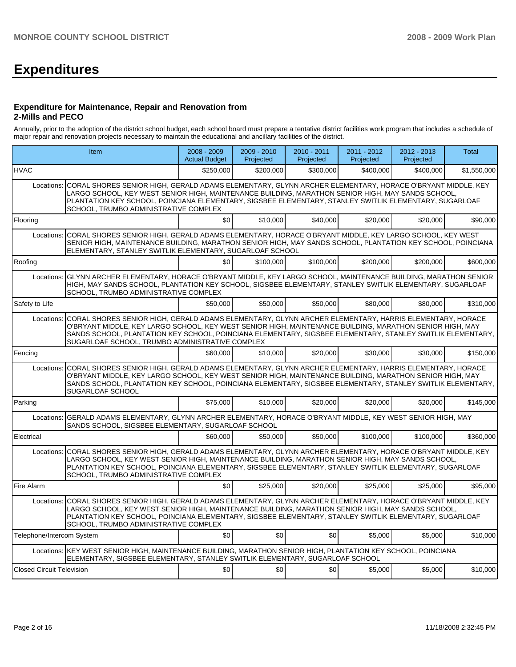# **Expenditures**

#### **Expenditure for Maintenance, Repair and Renovation from 2-Mills and PECO**

Annually, prior to the adoption of the district school budget, each school board must prepare a tentative district facilities work program that includes a schedule of major repair and renovation projects necessary to maintain the educational and ancillary facilities of the district.

| <b>Item</b>                      |                                                                                                                                                                                                                                                                                                                                                                                    | $2008 - 2009$<br><b>Actual Budget</b> | $2009 - 2010$<br>Projected | $2010 - 2011$<br>Projected | $2011 - 2012$<br>Projected | 2012 - 2013<br>Projected | Total       |  |  |  |  |
|----------------------------------|------------------------------------------------------------------------------------------------------------------------------------------------------------------------------------------------------------------------------------------------------------------------------------------------------------------------------------------------------------------------------------|---------------------------------------|----------------------------|----------------------------|----------------------------|--------------------------|-------------|--|--|--|--|
| <b>HVAC</b>                      |                                                                                                                                                                                                                                                                                                                                                                                    | \$250,000                             | \$200,000                  | \$300,000                  | \$400,000                  | \$400,000                | \$1,550,000 |  |  |  |  |
| Locations:                       | CORAL SHORES SENIOR HIGH, GERALD ADAMS ELEMENTARY, GLYNN ARCHER ELEMENTARY, HORACE O'BRYANT MIDDLE, KEY<br>LARGO SCHOOL, KEY WEST SENIOR HIGH, MAINTENANCE BUILDING, MARATHON SENIOR HIGH, MAY SANDS SCHOOL,<br>PLANTATION KEY SCHOOL, POINCIANA ELEMENTARY, SIGSBEE ELEMENTARY, STANLEY SWITLIK ELEMENTARY, SUGARLOAF<br>SCHOOL, TRUMBO ADMINISTRATIVE COMPLEX                    |                                       |                            |                            |                            |                          |             |  |  |  |  |
| Flooring                         |                                                                                                                                                                                                                                                                                                                                                                                    | \$0                                   | \$10.000                   | \$40.000                   | \$20.000                   | \$20.000                 | \$90,000    |  |  |  |  |
| Locations:                       | CORAL SHORES SENIOR HIGH, GERALD ADAMS ELEMENTARY, HORACE O'BRYANT MIDDLE, KEY LARGO SCHOOL, KEY WEST<br>SENIOR HIGH, MAINTENANCE BUILDING, MARATHON SENIOR HIGH, MAY SANDS SCHOOL, PLANTATION KEY SCHOOL, POINCIANA<br>ELEMENTARY, STANLEY SWITLIK ELEMENTARY, SUGARLOAF SCHOOL                                                                                                   |                                       |                            |                            |                            |                          |             |  |  |  |  |
| Roofing                          |                                                                                                                                                                                                                                                                                                                                                                                    | \$0                                   | \$100,000                  | \$100,000                  | \$200.000                  | \$200,000                | \$600,000   |  |  |  |  |
| Locations:                       | GLYNN ARCHER ELEMENTARY, HORACE O'BRYANT MIDDLE, KEY LARGO SCHOOL, MAINTENANCE BUILDING, MARATHON SENIOR<br>HIGH, MAY SANDS SCHOOL, PLANTATION KEY SCHOOL, SIGSBEE ELEMENTARY, STANLEY SWITLIK ELEMENTARY, SUGARLOAF<br>SCHOOL, TRUMBO ADMINISTRATIVE COMPLEX                                                                                                                      |                                       |                            |                            |                            |                          |             |  |  |  |  |
| Safety to Life                   |                                                                                                                                                                                                                                                                                                                                                                                    | \$50,000                              | \$50,000                   | \$50,000                   | \$80,000                   | \$80,000                 | \$310,000   |  |  |  |  |
| Locations:                       | CORAL SHORES SENIOR HIGH, GERALD ADAMS ELEMENTARY, GLYNN ARCHER ELEMENTARY, HARRIS ELEMENTARY, HORACE<br>O'BRYANT MIDDLE, KEY LARGO SCHOOL, KEY WEST SENIOR HIGH, MAINTENANCE BUILDING, MARATHON SENIOR HIGH, MAY<br>SANDS SCHOOL, PLANTATION KEY SCHOOL, POINCIANA ELEMENTARY, SIGSBEE ELEMENTARY, STANLEY SWITLIK ELEMENTARY,<br>SUGARLOAF SCHOOL, TRUMBO ADMINISTRATIVE COMPLEX |                                       |                            |                            |                            |                          |             |  |  |  |  |
| Fencing                          |                                                                                                                                                                                                                                                                                                                                                                                    | \$60,000                              | \$10,000                   | \$20,000                   | \$30,000                   | \$30,000                 | \$150,000   |  |  |  |  |
| Locations:                       | CORAL SHORES SENIOR HIGH, GERALD ADAMS ELEMENTARY, GLYNN ARCHER ELEMENTARY, HARRIS ELEMENTARY, HORACE<br>O'BRYANT MIDDLE, KEY LARGO SCHOOL, KEY WEST SENIOR HIGH, MAINTENANCE BUILDING, MARATHON SENIOR HIGH, MAY<br>SANDS SCHOOL, PLANTATION KEY SCHOOL, POINCIANA ELEMENTARY, SIGSBEE ELEMENTARY, STANLEY SWITLIK ELEMENTARY,<br>SUGARLOAF SCHOOL                                |                                       |                            |                            |                            |                          |             |  |  |  |  |
| Parking                          |                                                                                                                                                                                                                                                                                                                                                                                    | \$75,000                              | \$10,000                   | \$20,000                   | \$20,000                   | \$20,000                 | \$145,000   |  |  |  |  |
| Locations:                       | GERALD ADAMS ELEMENTARY, GLYNN ARCHER ELEMENTARY, HORACE O'BRYANT MIDDLE, KEY WEST SENIOR HIGH, MAY<br>SANDS SCHOOL, SIGSBEE ELEMENTARY, SUGARLOAF SCHOOL                                                                                                                                                                                                                          |                                       |                            |                            |                            |                          |             |  |  |  |  |
| Electrical                       |                                                                                                                                                                                                                                                                                                                                                                                    | \$60,000                              | \$50,000                   | \$50,000                   | \$100,000                  | \$100,000                | \$360,000   |  |  |  |  |
| Locations:                       | CORAL SHORES SENIOR HIGH, GERALD ADAMS ELEMENTARY, GLYNN ARCHER ELEMENTARY, HORACE O'BRYANT MIDDLE, KEY<br>LARGO SCHOOL. KEY WEST SENIOR HIGH. MAINTENANCE BUILDING. MARATHON SENIOR HIGH. MAY SANDS SCHOOL.<br>PLANTATION KEY SCHOOL, POINCIANA ELEMENTARY, SIGSBEE ELEMENTARY, STANLEY SWITLIK ELEMENTARY, SUGARLOAF<br>SCHOOL, TRUMBO ADMINISTRATIVE COMPLEX                    |                                       |                            |                            |                            |                          |             |  |  |  |  |
| Fire Alarm                       |                                                                                                                                                                                                                                                                                                                                                                                    | \$0                                   | \$25,000                   | \$20,000                   | \$25,000                   | \$25,000                 | \$95,000    |  |  |  |  |
| Locations:                       | CORAL SHORES SENIOR HIGH. GERALD ADAMS ELEMENTARY. GLYNN ARCHER ELEMENTARY. HORACE O'BRYANT MIDDLE. KEY<br>LARGO SCHOOL, KEY WEST SENIOR HIGH, MAINTENANCE BUILDING, MARATHON SENIOR HIGH, MAY SANDS SCHOOL,<br>PLANTATION KEY SCHOOL, POINCIANA ELEMENTARY, SIGSBEE ELEMENTARY, STANLEY SWITLIK ELEMENTARY, SUGARLOAF<br>SCHOOL, TRUMBO ADMINISTRATIVE COMPLEX                    |                                       |                            |                            |                            |                          |             |  |  |  |  |
| Telephone/Intercom System        |                                                                                                                                                                                                                                                                                                                                                                                    | \$0                                   | \$0                        | so l                       | \$5.000                    | \$5,000                  | \$10,000    |  |  |  |  |
|                                  | Locations: KEY WEST SENIOR HIGH, MAINTENANCE BUILDING, MARATHON SENIOR HIGH, PLANTATION KEY SCHOOL, POINCIANA<br>ELEMENTARY, SIGSBEE ELEMENTARY, STANLEY SWITLIK ELEMENTARY, SUGARLOAF SCHOOL                                                                                                                                                                                      |                                       |                            |                            |                            |                          |             |  |  |  |  |
| <b>Closed Circuit Television</b> |                                                                                                                                                                                                                                                                                                                                                                                    | \$0                                   | \$0                        | \$0 <sub>1</sub>           | \$5.000                    | \$5,000                  | \$10,000    |  |  |  |  |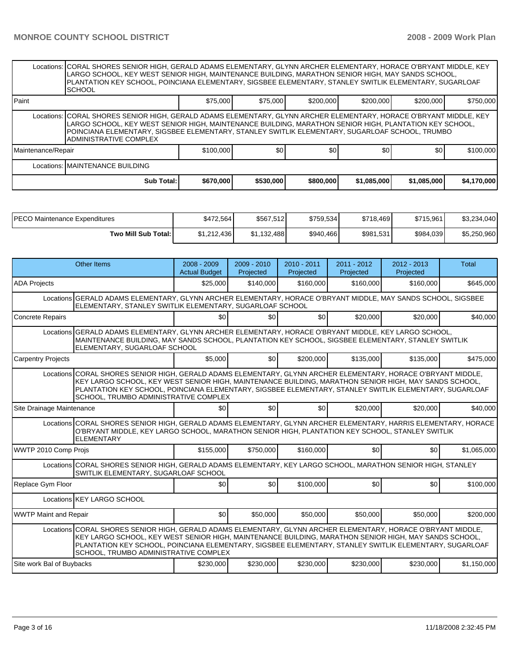|                    | Locations: CORAL SHORES SENIOR HIGH, GERALD ADAMS ELEMENTARY, GLYNN ARCHER ELEMENTARY, HORACE O'BRYANT MIDDLE, KEY<br>LARGO SCHOOL, KEY WEST SENIOR HIGH, MAINTENANCE BUILDING, MARATHON SENIOR HIGH, MAY SANDS SCHOOL,<br>PLANTATION KEY SCHOOL, POINCIANA ELEMENTARY, SIGSBEE ELEMENTARY, STANLEY SWITLIK ELEMENTARY, SUGARLOAF<br><b>SCHOOL</b>                |           |           |           |             |             |             |  |  |  |  |
|--------------------|-------------------------------------------------------------------------------------------------------------------------------------------------------------------------------------------------------------------------------------------------------------------------------------------------------------------------------------------------------------------|-----------|-----------|-----------|-------------|-------------|-------------|--|--|--|--|
| l Paint            |                                                                                                                                                                                                                                                                                                                                                                   | \$75,000  | \$75,000  | \$200,000 | \$200,000   | \$200,000   | \$750,000   |  |  |  |  |
|                    | Locations:   CORAL SHORES SENIOR HIGH, GERALD ADAMS ELEMENTARY, GLYNN ARCHER ELEMENTARY, HORACE O'BRYANT MIDDLE, KEY<br>LARGO SCHOOL, KEY WEST SENIOR HIGH, MAINTENANCE BUILDING, MARATHON SENIOR HIGH, PLANTATION KEY SCHOOL,<br>POINCIANA ELEMENTARY, SIGSBEE ELEMENTARY, STANLEY SWITLIK ELEMENTARY, SUGARLOAF SCHOOL, TRUMBO<br><b>ADMINISTRATIVE COMPLEX</b> |           |           |           |             |             |             |  |  |  |  |
| Maintenance/Repair |                                                                                                                                                                                                                                                                                                                                                                   | \$100,000 | \$0       | \$0       | \$0         | \$0         | \$100,000   |  |  |  |  |
|                    | Locations: MAINTENANCE BUILDING                                                                                                                                                                                                                                                                                                                                   |           |           |           |             |             |             |  |  |  |  |
|                    | Sub Total:                                                                                                                                                                                                                                                                                                                                                        | \$670,000 | \$530,000 | \$800,000 | \$1,085,000 | \$1,085,000 | \$4,170,000 |  |  |  |  |

| <b>IPECO Maintenance Expenditures</b> | \$472.564   | \$567,512   | \$759,534 | \$718,469 | \$715.961 | \$3,234,040 |
|---------------------------------------|-------------|-------------|-----------|-----------|-----------|-------------|
| Two Mill Sub Total:                   | \$1.212.436 | \$1.132.488 | \$940,466 | \$981,531 | \$984,039 | \$5,250,960 |

|                              | <b>Other Items</b>                                                                                                                                                                                                                                                                                                                                                               | $2008 - 2009$<br><b>Actual Budget</b> | $2009 - 2010$<br>Projected | $2010 - 2011$<br>Projected | $2011 - 2012$<br>Projected | $2012 - 2013$<br>Projected | <b>Total</b> |  |  |  |
|------------------------------|----------------------------------------------------------------------------------------------------------------------------------------------------------------------------------------------------------------------------------------------------------------------------------------------------------------------------------------------------------------------------------|---------------------------------------|----------------------------|----------------------------|----------------------------|----------------------------|--------------|--|--|--|
| <b>ADA Projects</b>          |                                                                                                                                                                                                                                                                                                                                                                                  | \$25,000                              | \$140,000                  | \$160,000                  | \$160,000                  | \$160,000                  | \$645,000    |  |  |  |
|                              | Locations GERALD ADAMS ELEMENTARY, GLYNN ARCHER ELEMENTARY, HORACE O'BRYANT MIDDLE, MAY SANDS SCHOOL, SIGSBEE<br>ELEMENTARY, STANLEY SWITLIK ELEMENTARY, SUGARLOAF SCHOOL                                                                                                                                                                                                        |                                       |                            |                            |                            |                            |              |  |  |  |
| <b>Concrete Repairs</b>      |                                                                                                                                                                                                                                                                                                                                                                                  | \$0                                   | \$0                        | \$0                        | \$20,000                   | \$20,000                   | \$40,000     |  |  |  |
|                              | Locations GERALD ADAMS ELEMENTARY, GLYNN ARCHER ELEMENTARY, HORACE O'BRYANT MIDDLE, KEY LARGO SCHOOL,<br>MAINTENANCE BUILDING, MAY SANDS SCHOOL, PLANTATION KEY SCHOOL, SIGSBEE ELEMENTARY, STANLEY SWITLIK<br>ELEMENTARY, SUGARLOAF SCHOOL                                                                                                                                      |                                       |                            |                            |                            |                            |              |  |  |  |
| <b>Carpentry Projects</b>    |                                                                                                                                                                                                                                                                                                                                                                                  | \$5,000                               | \$0                        | \$200,000                  | \$135,000                  | \$135,000                  | \$475,000    |  |  |  |
|                              | Locations CORAL SHORES SENIOR HIGH, GERALD ADAMS ELEMENTARY, GLYNN ARCHER ELEMENTARY, HORACE O'BRYANT MIDDLE,<br>KEY LARGO SCHOOL, KEY WEST SENIOR HIGH, MAINTENANCE BUILDING, MARATHON SENIOR HIGH, MAY SANDS SCHOOL,<br>PLANTATION KEY SCHOOL, POINCIANA ELEMENTARY, SIGSBEE ELEMENTARY, STANLEY SWITLIK ELEMENTARY, SUGARLOAF<br><b>SCHOOL, TRUMBO ADMINISTRATIVE COMPLEX</b> |                                       |                            |                            |                            |                            |              |  |  |  |
| Site Drainage Maintenance    |                                                                                                                                                                                                                                                                                                                                                                                  | \$0                                   | \$0                        | \$0 <sub>l</sub>           | \$20,000                   | \$20,000                   | \$40,000     |  |  |  |
|                              | Locations CORAL SHORES SENIOR HIGH, GERALD ADAMS ELEMENTARY, GLYNN ARCHER ELEMENTARY, HARRIS ELEMENTARY, HORACE<br>O'BRYANT MIDDLE, KEY LARGO SCHOOL, MARATHON SENIOR HIGH, PLANTATION KEY SCHOOL, STANLEY SWITLIK<br><b>ELEMENTARY</b>                                                                                                                                          |                                       |                            |                            |                            |                            |              |  |  |  |
| WWTP 2010 Comp Prois         |                                                                                                                                                                                                                                                                                                                                                                                  | \$155,000                             | \$750,000                  | \$160,000                  | \$0                        | \$0                        | \$1,065,000  |  |  |  |
|                              | Locations CORAL SHORES SENIOR HIGH, GERALD ADAMS ELEMENTARY, KEY LARGO SCHOOL, MARATHON SENIOR HIGH, STANLEY<br>SWITLIK ELEMENTARY, SUGARLOAF SCHOOL                                                                                                                                                                                                                             |                                       |                            |                            |                            |                            |              |  |  |  |
| Replace Gym Floor            |                                                                                                                                                                                                                                                                                                                                                                                  | \$0                                   | \$0                        | \$100,000                  | \$0                        | \$0                        | \$100,000    |  |  |  |
|                              | Locations KEY LARGO SCHOOL                                                                                                                                                                                                                                                                                                                                                       |                                       |                            |                            |                            |                            |              |  |  |  |
| <b>WWTP Maint and Repair</b> |                                                                                                                                                                                                                                                                                                                                                                                  | \$0                                   | \$50,000                   | \$50,000                   | \$50,000                   | \$50,000                   | \$200,000    |  |  |  |
|                              | Locations CORAL SHORES SENIOR HIGH, GERALD ADAMS ELEMENTARY, GLYNN ARCHER ELEMENTARY, HORACE O'BRYANT MIDDLE,<br>KEY LARGO SCHOOL, KEY WEST SENIOR HIGH, MAINTENANCE BUILDING, MARATHON SENIOR HIGH, MAY SANDS SCHOOL,<br>PLANTATION KEY SCHOOL, POINCIANA ELEMENTARY, SIGSBEE ELEMENTARY, STANLEY SWITLIK ELEMENTARY, SUGARLOAF<br><b>SCHOOL, TRUMBO ADMINISTRATIVE COMPLEX</b> |                                       |                            |                            |                            |                            |              |  |  |  |
| Site work Bal of Buybacks    |                                                                                                                                                                                                                                                                                                                                                                                  | \$230,000                             | \$230,000                  | \$230,000                  | \$230,000                  | \$230,000                  | \$1,150,000  |  |  |  |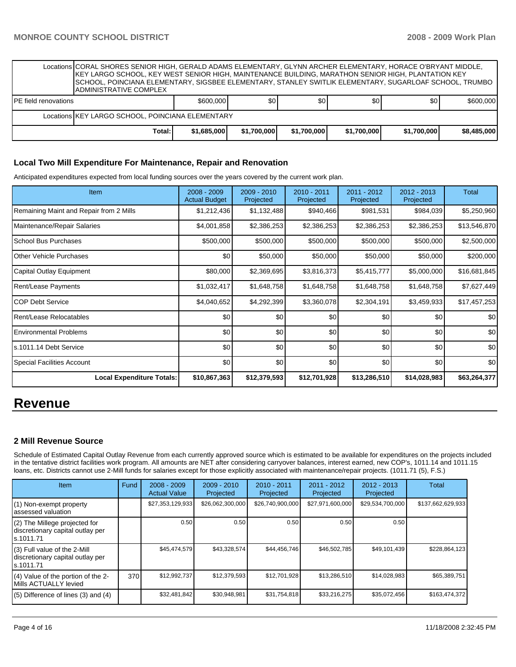|                             | Locations ICORAL SHORES SENIOR HIGH. GERALD ADAMS ELEMENTARY. GLYNN ARCHER ELEMENTARY. HORACE O'BRYANT MIDDLE.<br>IKEY LARGO SCHOOL, KEY WEST SENIOR HIGH, MAINTENANCE BUILDING, MARATHON SENIOR HIGH, PLANTATION KEY<br>SCHOOL, POINCIANA ELEMENTARY, SIGSBEE ELEMENTARY, STANLEY SWITLIK ELEMENTARY, SUGARLOAF SCHOOL, TRUMBO<br>IADMINISTRATIVE COMPLEX |             |             |             |             |             |             |  |  |  |
|-----------------------------|------------------------------------------------------------------------------------------------------------------------------------------------------------------------------------------------------------------------------------------------------------------------------------------------------------------------------------------------------------|-------------|-------------|-------------|-------------|-------------|-------------|--|--|--|
| <b>PE</b> field renovations |                                                                                                                                                                                                                                                                                                                                                            | \$600,000   | \$0         | \$0         | \$0         | \$0         | \$600,000   |  |  |  |
|                             | Locations KEY LARGO SCHOOL, POINCIANA ELEMENTARY                                                                                                                                                                                                                                                                                                           |             |             |             |             |             |             |  |  |  |
|                             | Total:                                                                                                                                                                                                                                                                                                                                                     | \$1,685,000 | \$1,700,000 | \$1,700,000 | \$1,700,000 | \$1,700,000 | \$8,485,000 |  |  |  |

#### **Local Two Mill Expenditure For Maintenance, Repair and Renovation**

Anticipated expenditures expected from local funding sources over the years covered by the current work plan.

| <b>Item</b>                             | $2008 - 2009$<br><b>Actual Budget</b> | $2009 - 2010$<br>Projected | 2010 - 2011<br>Projected | 2011 - 2012<br>Projected | 2012 - 2013<br>Projected | Total        |
|-----------------------------------------|---------------------------------------|----------------------------|--------------------------|--------------------------|--------------------------|--------------|
| Remaining Maint and Repair from 2 Mills | \$1,212,436                           | \$1,132,488                | \$940,466                | \$981,531                | \$984,039                | \$5,250,960  |
| Maintenance/Repair Salaries             | \$4,001,858                           | \$2,386,253                | \$2,386,253              | \$2,386,253              | \$2,386,253              | \$13,546,870 |
| School Bus Purchases                    | \$500,000                             | \$500,000                  | \$500,000                | \$500,000                | \$500,000                | \$2,500,000  |
| Other Vehicle Purchases                 | \$0                                   | \$50,000                   | \$50,000                 | \$50,000                 | \$50,000                 | \$200,000    |
| Capital Outlay Equipment                | \$80,000                              | \$2,369,695                | \$3,816,373              | \$5,415,777              | \$5,000,000              | \$16,681,845 |
| Rent/Lease Payments                     | \$1,032,417                           | \$1,648,758                | \$1,648,758              | \$1,648,758              | \$1,648,758              | \$7,627,449  |
| ICOP Debt Service                       | \$4,040,652                           | \$4,292,399                | \$3,360,078              | \$2,304,191              | \$3,459,933              | \$17,457,253 |
| Rent/Lease Relocatables                 | \$0                                   | \$0                        | \$0                      | \$0                      | \$0                      | \$0          |
| <b>Environmental Problems</b>           | \$0                                   | \$0                        | \$0                      | \$0                      | \$0                      | \$0          |
| ls.1011.14 Debt Service                 | \$0                                   | \$0                        | \$0                      | \$0                      | \$0                      | \$0          |
| Special Facilities Account              | \$0                                   | \$0                        | \$0                      | \$0                      | \$0                      | \$0          |
| <b>Local Expenditure Totals:</b>        | \$10,867,363                          | \$12,379,593               | \$12,701,928             | \$13,286,510             | \$14,028,983             | \$63,264,377 |

# **Revenue**

## **2 Mill Revenue Source**

Schedule of Estimated Capital Outlay Revenue from each currently approved source which is estimated to be available for expenditures on the projects included in the tentative district facilities work program. All amounts are NET after considering carryover balances, interest earned, new COP's, 1011.14 and 1011.15 loans, etc. Districts cannot use 2-Mill funds for salaries except for those explicitly associated with maintenance/repair projects. (1011.71 (5), F.S.)

| <b>Item</b>                                                                    | Fund | $2008 - 2009$<br><b>Actual Value</b> | $2009 - 2010$<br>Projected | $2010 - 2011$<br>Projected | $2011 - 2012$<br>Projected | $2012 - 2013$<br>Projected | Total             |
|--------------------------------------------------------------------------------|------|--------------------------------------|----------------------------|----------------------------|----------------------------|----------------------------|-------------------|
| (1) Non-exempt property<br>assessed valuation                                  |      | \$27,353,129,933                     | \$26,062,300,000           | \$26,740,900,000           | \$27,971,600,000           | \$29,534,700,000           | \$137,662,629,933 |
| (2) The Millege projected for<br>discretionary capital outlay per<br>s.1011.71 |      | 0.50                                 | 0.50                       | 0.50                       | 0.50                       | 0.50                       |                   |
| (3) Full value of the 2-Mill<br>discretionary capital outlay per<br>s.1011.71  |      | \$45,474,579                         | \$43,328,574               | \$44,456,746               | \$46,502,785               | \$49,101,439               | \$228,864,123     |
| (4) Value of the portion of the 2-<br>Mills ACTUALLY levied                    | 370  | \$12,992,737                         | \$12,379,593               | \$12,701,928               | \$13,286,510               | \$14,028,983               | \$65,389,751      |
| $(5)$ Difference of lines $(3)$ and $(4)$                                      |      | \$32,481,842                         | \$30,948,981               | \$31,754,818               | \$33,216,275               | \$35,072,456               | \$163,474,372     |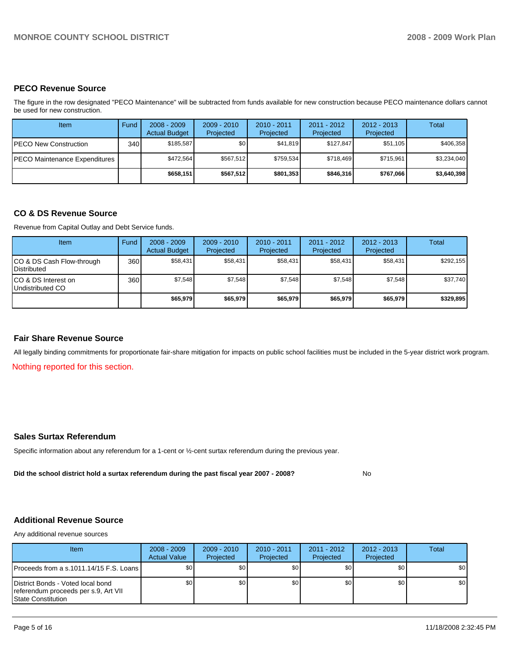## **PECO Revenue Source**

The figure in the row designated "PECO Maintenance" will be subtracted from funds available for new construction because PECO maintenance dollars cannot be used for new construction.

| Item                                 | Fund         | $2008 - 2009$<br><b>Actual Budget</b> | $2009 - 2010$<br>Projected | $2010 - 2011$<br>Projected | 2011 - 2012<br>Projected | $2012 - 2013$<br>Projected | Total       |
|--------------------------------------|--------------|---------------------------------------|----------------------------|----------------------------|--------------------------|----------------------------|-------------|
| IPECO New Construction               | 340 <b>I</b> | \$185.587                             | \$0                        | \$41.819                   | \$127.847                | \$51.105                   | \$406,358   |
| <b>PECO Maintenance Expenditures</b> |              | \$472.564                             | \$567.512                  | \$759.534                  | \$718.469                | \$715.961                  | \$3,234,040 |
|                                      |              | \$658.151                             | \$567.512                  | \$801.353                  | \$846,316                | \$767.066                  | \$3,640,398 |

#### **CO & DS Revenue Source**

Revenue from Capital Outlay and Debt Service funds.

| <b>Item</b>                                        | Fund | $2008 - 2009$<br><b>Actual Budget</b> | $2009 - 2010$<br>Projected | $2010 - 2011$<br>Projected | $2011 - 2012$<br>Projected | $2012 - 2013$<br>Projected | Total     |
|----------------------------------------------------|------|---------------------------------------|----------------------------|----------------------------|----------------------------|----------------------------|-----------|
| ICO & DS Cash Flow-through<br><b>I</b> Distributed | 360  | \$58,431                              | \$58,431                   | \$58,431                   | \$58,431                   | \$58,431                   | \$292,155 |
| ICO & DS Interest on<br>Undistributed CO           | 360  | \$7,548                               | \$7,548                    | \$7,548                    | \$7.548                    | \$7,548                    | \$37,740  |
|                                                    |      | \$65,979                              | \$65,979                   | \$65,979                   | \$65.979                   | \$65,979                   | \$329,895 |

## **Fair Share Revenue Source**

All legally binding commitments for proportionate fair-share mitigation for impacts on public school facilities must be included in the 5-year district work program.

Nothing reported for this section.

#### **Sales Surtax Referendum**

Specific information about any referendum for a 1-cent or ½-cent surtax referendum during the previous year.

**Did the school district hold a surtax referendum during the past fiscal year 2007 - 2008?** No

# **Additional Revenue Source**

Any additional revenue sources

| <b>Item</b>                                                                                            | $2008 - 2009$<br><b>Actual Value</b> | $2009 - 2010$<br>Projected | $2010 - 2011$<br>Projected | $2011 - 2012$<br>Projected | $2012 - 2013$<br>Projected | Total |
|--------------------------------------------------------------------------------------------------------|--------------------------------------|----------------------------|----------------------------|----------------------------|----------------------------|-------|
| <b>IProceeds from a s.1011.14/15 F.S. Loans I</b>                                                      | \$0 <sub>1</sub>                     | \$0                        | \$0                        | \$0 <sub>1</sub>           | \$0                        | \$0   |
| District Bonds - Voted local bond<br>referendum proceeds per s.9, Art VII<br><b>State Constitution</b> | \$0                                  | \$0                        | \$0                        | \$0                        | \$0 <sub>1</sub>           | \$0   |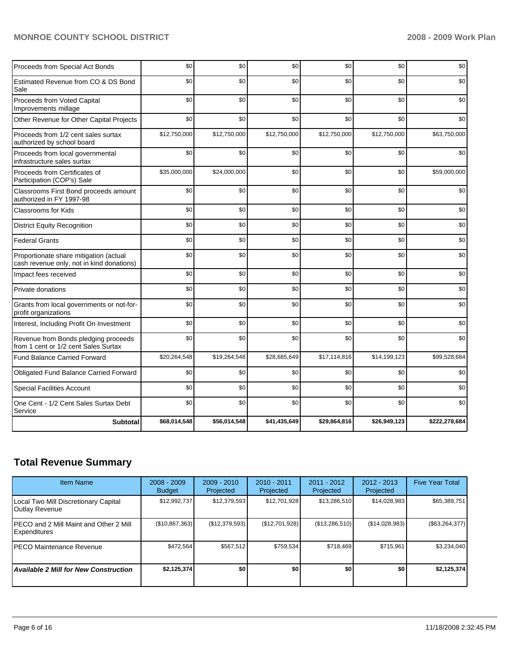# **MONROE COUNTY SCHOOL DISTRICT 2008 - 2009 Work Plan**

| Proceeds from Special Act Bonds                                                     | \$0          | \$0          | \$0          | \$0          | \$0          | \$0           |
|-------------------------------------------------------------------------------------|--------------|--------------|--------------|--------------|--------------|---------------|
| Estimated Revenue from CO & DS Bond<br>Sale                                         | \$0          | \$0          | \$0          | \$0          | \$0          | \$0           |
| Proceeds from Voted Capital<br>Improvements millage                                 | \$0          | \$0          | \$0          | \$0          | \$0          | \$0           |
| Other Revenue for Other Capital Projects                                            | \$0          | \$0          | \$0          | \$0          | \$0          | \$0           |
| Proceeds from 1/2 cent sales surtax<br>authorized by school board                   | \$12,750,000 | \$12,750,000 | \$12,750,000 | \$12,750,000 | \$12,750,000 | \$63,750,000  |
| Proceeds from local governmental<br>infrastructure sales surtax                     | \$0          | \$0          | \$0          | \$0          | \$0          | \$0           |
| Proceeds from Certificates of<br>Participation (COP's) Sale                         | \$35,000,000 | \$24,000,000 | \$0          | \$0          | \$0          | \$59,000,000  |
| Classrooms First Bond proceeds amount<br>authorized in FY 1997-98                   | \$0          | \$0          | \$0          | \$0          | \$0          | \$0           |
| <b>Classrooms for Kids</b>                                                          | \$0          | \$0          | \$0          | \$0          | \$0          | \$0           |
| <b>District Equity Recognition</b>                                                  | \$0          | \$0          | \$0          | \$0          | \$0          | \$0           |
| <b>Federal Grants</b>                                                               | \$0          | \$0          | \$0          | \$0          | \$0          | \$0           |
| Proportionate share mitigation (actual<br>cash revenue only, not in kind donations) | \$0          | \$0          | \$0          | \$0          | \$0          | \$0           |
| Impact fees received                                                                | \$0          | \$0          | \$0          | \$0          | \$0          | \$0           |
| Private donations                                                                   | \$0          | \$0          | \$0          | \$0          | \$0          | \$0           |
| Grants from local governments or not-for-<br>profit organizations                   | \$0          | \$0          | \$0          | \$0          | \$0          | \$0           |
| Interest, Including Profit On Investment                                            | \$0          | \$0          | \$0          | \$0          | \$0          | \$0           |
| Revenue from Bonds pledging proceeds<br>from 1 cent or 1/2 cent Sales Surtax        | \$0          | \$0          | \$0          | \$0          | \$0          | \$0           |
| <b>Fund Balance Carried Forward</b>                                                 | \$20,264,548 | \$19,264,548 | \$28,685,649 | \$17,114,816 | \$14,199,123 | \$99,528,684  |
| Obligated Fund Balance Carried Forward                                              | \$0          | \$0          | \$0          | \$0          | \$0          | \$0           |
| <b>Special Facilities Account</b>                                                   | \$0          | \$0          | \$0          | \$0          | \$0          | \$0           |
| One Cent - 1/2 Cent Sales Surtax Debt<br>Service                                    | \$0          | \$0          | \$0          | \$0          | \$0          | \$0           |
| <b>Subtotal</b>                                                                     | \$68,014,548 | \$56,014,548 | \$41,435,649 | \$29,864,816 | \$26,949,123 | \$222,278,684 |

# **Total Revenue Summary**

| <b>Item Name</b>                                        | $2008 - 2009$<br><b>Budget</b> | $2009 - 2010$<br>Projected | $2010 - 2011$<br>Projected | $2011 - 2012$<br>Projected | $2012 - 2013$<br>Projected | <b>Five Year Total</b> |
|---------------------------------------------------------|--------------------------------|----------------------------|----------------------------|----------------------------|----------------------------|------------------------|
| Local Two Mill Discretionary Capital<br>Outlay Revenue  | \$12,992,737                   | \$12,379,593               | \$12,701,928               | \$13,286,510               | \$14,028,983               | \$65,389,751           |
| IPECO and 2 Mill Maint and Other 2 Mill<br>Expenditures | (\$10,867,363)                 | (\$12,379,593)             | (\$12,701,928)             | (\$13,286,510)             | (\$14,028,983)             | (S63, 264, 377)        |
| <b>IPECO Maintenance Revenue</b>                        | \$472.564                      | \$567.512                  | \$759.534                  | \$718.469                  | \$715.961                  | \$3,234,040            |
| <b>Available 2 Mill for New Construction</b>            | \$2,125,374                    | \$O                        | \$0                        | \$0                        | \$0                        | \$2,125,374            |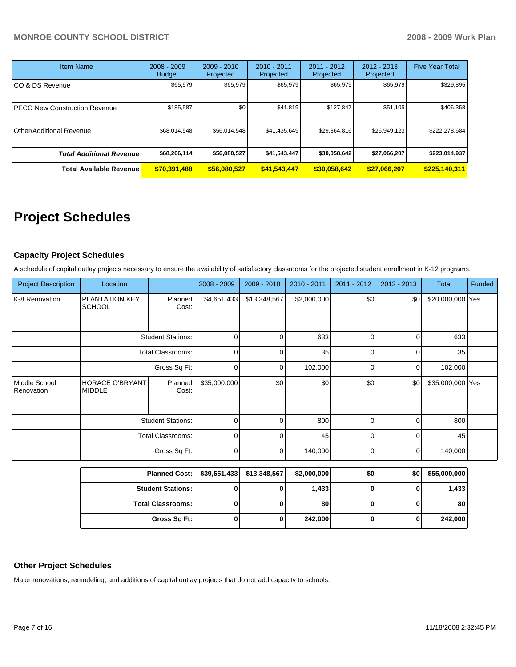| <b>Item Name</b>                 | $2008 - 2009$<br><b>Budget</b> | $2009 - 2010$<br>Projected | $2010 - 2011$<br>Projected | $2011 - 2012$<br>Projected | $2012 - 2013$<br>Projected | <b>Five Year Total</b> |
|----------------------------------|--------------------------------|----------------------------|----------------------------|----------------------------|----------------------------|------------------------|
| CO & DS Revenue                  | \$65,979                       | \$65,979                   | \$65,979                   | \$65,979                   | \$65,979                   | \$329,895              |
| PECO New Construction Revenue    | \$185,587                      | \$0                        | \$41,819                   | \$127.847                  | \$51.105                   | \$406,358              |
| Other/Additional Revenue         | \$68,014,548                   | \$56,014,548               | \$41,435,649               | \$29,864,816               | \$26,949,123               | \$222,278,684          |
| <b>Total Additional Revenuel</b> | \$68,266,114                   | \$56,080,527               | \$41,543,447               | \$30,058,642               | \$27,066,207               | \$223,014,937          |
| <b>Total Available Revenue</b>   | \$70,391,488                   | \$56,080,527               | \$41,543,447               | \$30.058.642               | \$27,066,207               | \$225,140,311          |

# **Project Schedules**

# **Capacity Project Schedules**

A schedule of capital outlay projects necessary to ensure the availability of satisfactory classrooms for the projected student enrollment in K-12 programs.

| <b>Project Description</b>  | Location                                         |                          | 2008 - 2009  | 2009 - 2010  | $2010 - 2011$ | 2011 - 2012 | 2012 - 2013    | <b>Total</b>     | Funded |
|-----------------------------|--------------------------------------------------|--------------------------|--------------|--------------|---------------|-------------|----------------|------------------|--------|
| K-8 Renovation              | <b>PLANTATION KEY</b><br><b>SCHOOL</b>           | Planned<br>Cost:         | \$4,651,433  | \$13,348,567 | \$2,000,000   | \$0         | \$0            | \$20,000,000 Yes |        |
|                             |                                                  | <b>Student Stations:</b> | 0            | n            | 633           | $\Omega$    | $\mathbf 0$    | 633              |        |
|                             |                                                  | <b>Total Classrooms:</b> | 0            |              | 35            | 0           | 0              | 35               |        |
|                             | Gross Sq Ft:                                     |                          | 0            | $\Omega$     | 102,000       | 0           | $\overline{0}$ | 102,000          |        |
| Middle School<br>Renovation | <b>HORACE O'BRYANT</b><br><b>MIDDLE</b>          | Planned<br>Cost:         | \$35,000,000 | \$0          | \$0           | \$0         | \$0            | \$35,000,000 Yes |        |
|                             | <b>Student Stations:</b>                         |                          | 0            | $\Omega$     | 800           | $\Omega$    | 0              | 800              |        |
|                             |                                                  | <b>Total Classrooms:</b> | 0            |              | 45            | $\Omega$    | 0              | 45               |        |
|                             |                                                  | Gross Sq Ft:             | $\mathbf 0$  | 0            | 140,000       | 0           | $\mathbf 0$    | 140,000          |        |
|                             | <b>Planned Cost:</b><br><b>Student Stations:</b> |                          | \$39,651,433 | \$13,348,567 | \$2,000,000   | \$0         | \$0            | \$55,000,000     |        |
|                             |                                                  |                          | 0            |              | 1,433         | 0           | 0              | 1,433            |        |
|                             |                                                  | <b>Total Classrooms:</b> | $\bf{0}$     | 0            | 80            | 0           | 0              | 80               |        |
|                             |                                                  | Gross Sq Ft:             | 0            | 0            | 242,000       | 0           | 0              | 242,000          |        |

# **Other Project Schedules**

Major renovations, remodeling, and additions of capital outlay projects that do not add capacity to schools.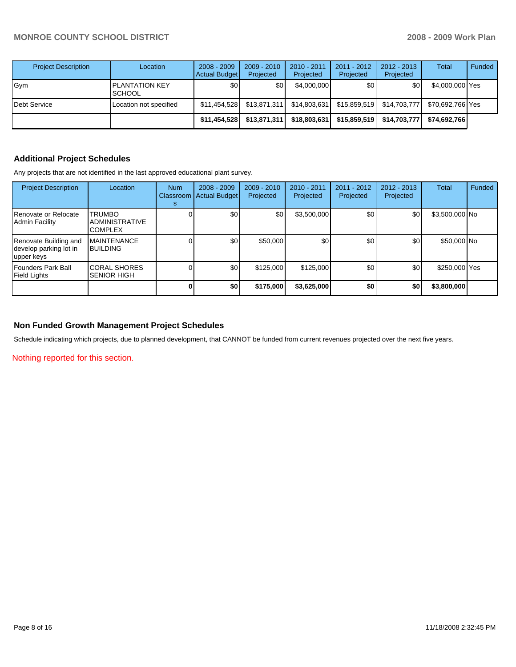| <b>Project Description</b> | Location                                | $2008 - 2009$<br>Actual Budget | 2009 - 2010<br>Projected | 2010 - 2011<br>Projected | $2011 - 2012$<br>Projected | 2012 - 2013<br>Projected | Total            | Funded |
|----------------------------|-----------------------------------------|--------------------------------|--------------------------|--------------------------|----------------------------|--------------------------|------------------|--------|
| Gym                        | <b>IPLANTATION KEY</b><br><b>SCHOOL</b> | \$0 <sub>1</sub>               | \$0                      | \$4,000,000              | \$0                        | \$0                      | \$4,000,000 Yes  |        |
| Debt Service               | Location not specified                  | \$11,454,528                   | \$13,871,311             | \$14,803,631             | \$15,859,519               | \$14,703,777             | \$70.692.766 Yes |        |
|                            |                                         | \$11.454.528                   | \$13,871,311             | \$18,803,631             | \$15,859,519               | \$14,703,777             | \$74.692.766     |        |

# **Additional Project Schedules**

Any projects that are not identified in the last approved educational plant survey.

| <b>Project Description</b>                                    | Location                                                 | <b>Num</b><br>Classroom<br>s | $2008 - 2009$<br><b>Actual Budget</b> | $2009 - 2010$<br>Projected | 2010 - 2011<br>Projected | $2011 - 2012$<br>Projected | $2012 - 2013$<br>Projected | Total          | Funded |
|---------------------------------------------------------------|----------------------------------------------------------|------------------------------|---------------------------------------|----------------------------|--------------------------|----------------------------|----------------------------|----------------|--------|
| Renovate or Relocate<br>I Admin Facilitv                      | <b>TRUMBO</b><br><b>ADMINISTRATIVE</b><br><b>COMPLEX</b> |                              | \$0                                   | \$0                        | \$3,500,000              | \$0                        | \$0                        | \$3,500,000 No |        |
| Renovate Building and<br>develop parking lot in<br>upper keys | <b>MAINTENANCE</b><br><b>BUILDING</b>                    |                              | \$0                                   | \$50,000                   | \$0                      | \$0                        | \$0                        | \$50,000 No    |        |
| l Founders Park Ball<br>Field Lights                          | <b>CORAL SHORES</b><br><b>SENIOR HIGH</b>                |                              | \$0                                   | \$125,000                  | \$125,000                | \$0                        | \$0                        | \$250,000 Yes  |        |
|                                                               |                                                          |                              | \$0                                   | \$175,000                  | \$3,625,000              | \$0                        | \$0                        | \$3,800,000    |        |

# **Non Funded Growth Management Project Schedules**

Schedule indicating which projects, due to planned development, that CANNOT be funded from current revenues projected over the next five years.

Nothing reported for this section.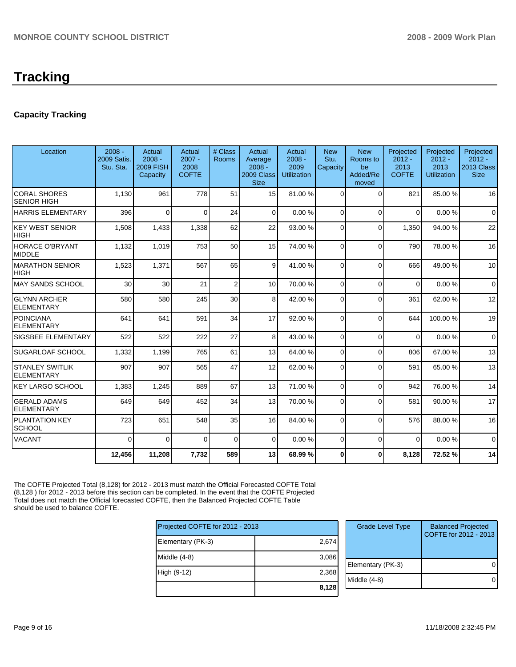# **Capacity Tracking**

| Location                                    | $2008 -$<br>2009 Satis.<br>Stu. Sta. | Actual<br>$2008 -$<br><b>2009 FISH</b><br>Capacity | Actual<br>$2007 -$<br>2008<br><b>COFTE</b> | # Class<br>Rooms | Actual<br>Average<br>$2008 -$<br>2009 Class | Actual<br>$2008 -$<br>2009<br><b>Utilization</b> | <b>New</b><br>Stu.<br>Capacity | <b>New</b><br>Rooms to<br>be<br>Added/Re | Projected<br>$2012 -$<br>2013<br><b>COFTE</b> | Projected<br>$2012 -$<br>2013<br><b>Utilization</b> | Projected<br>$2012 -$<br>2013 Class<br><b>Size</b> |
|---------------------------------------------|--------------------------------------|----------------------------------------------------|--------------------------------------------|------------------|---------------------------------------------|--------------------------------------------------|--------------------------------|------------------------------------------|-----------------------------------------------|-----------------------------------------------------|----------------------------------------------------|
|                                             |                                      |                                                    |                                            |                  | <b>Size</b>                                 |                                                  |                                | moved                                    |                                               |                                                     |                                                    |
| <b>CORAL SHORES</b><br><b>SENIOR HIGH</b>   | 1,130                                | 961                                                | 778                                        | 51               | 15                                          | 81.00 %                                          | $\Omega$                       | $\Omega$                                 | 821                                           | 85.00 %                                             | 16                                                 |
| <b>HARRIS ELEMENTARY</b>                    | 396                                  | $\Omega$                                           | $\Omega$                                   | 24               | $\Omega$                                    | 0.00%                                            | $\Omega$                       | $\Omega$                                 | $\Omega$                                      | 0.00%                                               | $\Omega$                                           |
| <b>KEY WEST SENIOR</b><br><b>HIGH</b>       | 1,508                                | 1,433                                              | 1,338                                      | 62               | 22                                          | 93.00 %                                          | $\Omega$                       | $\Omega$                                 | 1,350                                         | 94.00 %                                             | 22                                                 |
| <b>HORACE O'BRYANT</b><br><b>MIDDLE</b>     | 1,132                                | 1,019                                              | 753                                        | 50               | 15                                          | 74.00 %                                          | 0                              | $\Omega$                                 | 790                                           | 78.00 %                                             | 16                                                 |
| <b>MARATHON SENIOR</b><br><b>HIGH</b>       | 1,523                                | 1,371                                              | 567                                        | 65               | 9                                           | 41.00 %                                          | $\Omega$                       | $\Omega$                                 | 666                                           | 49.00 %                                             | 10                                                 |
| <b>MAY SANDS SCHOOL</b>                     | 30                                   | 30                                                 | 21                                         | $\overline{2}$   | 10                                          | 70.00 %                                          | $\Omega$                       | $\Omega$                                 | $\Omega$                                      | 0.00%                                               | $\Omega$                                           |
| <b>GLYNN ARCHER</b><br><b>ELEMENTARY</b>    | 580                                  | 580                                                | 245                                        | 30               | 8                                           | 42.00 %                                          | $\Omega$                       | $\Omega$                                 | 361                                           | 62.00 %                                             | 12                                                 |
| <b>POINCIANA</b><br><b>ELEMENTARY</b>       | 641                                  | 641                                                | 591                                        | 34               | 17                                          | 92.00 %                                          | $\Omega$                       | $\Omega$                                 | 644                                           | 100.00%                                             | 19                                                 |
| SIGSBEE ELEMENTARY                          | 522                                  | 522                                                | 222                                        | 27               | 8                                           | 43.00 %                                          | $\Omega$                       | $\Omega$                                 | $\Omega$                                      | 0.00%                                               | $\Omega$                                           |
| SUGARLOAF SCHOOL                            | 1,332                                | 1,199                                              | 765                                        | 61               | 13                                          | 64.00 %                                          | $\Omega$                       | $\Omega$                                 | 806                                           | 67.00 %                                             | 13                                                 |
| <b>STANLEY SWITLIK</b><br><b>ELEMENTARY</b> | 907                                  | 907                                                | 565                                        | 47               | 12                                          | 62.00 %                                          | $\Omega$                       | $\Omega$                                 | 591                                           | 65.00 %                                             | 13                                                 |
| <b>KEY LARGO SCHOOL</b>                     | 1,383                                | 1,245                                              | 889                                        | 67               | 13                                          | 71.00 %                                          | $\Omega$                       | $\Omega$                                 | 942                                           | 76.00 %                                             | 14                                                 |
| <b>GERALD ADAMS</b><br><b>ELEMENTARY</b>    | 649                                  | 649                                                | 452                                        | 34               | 13 <sup>1</sup>                             | 70.00 %                                          | $\Omega$                       | $\Omega$                                 | 581                                           | 90.00 %                                             | 17                                                 |
| <b>PLANTATION KEY</b><br><b>SCHOOL</b>      | 723                                  | 651                                                | 548                                        | 35               | 16                                          | 84.00 %                                          | $\Omega$                       | $\Omega$                                 | 576                                           | 88.00 %                                             | 16                                                 |
| VACANT                                      | $\Omega$                             | $\Omega$                                           | $\Omega$                                   | $\Omega$         | $\Omega$                                    | 0.00%                                            | $\Omega$                       | $\Omega$                                 | $\Omega$                                      | 0.00%                                               | $\Omega$                                           |
|                                             | 12,456                               | 11,208                                             | 7,732                                      | 589              | 13                                          | 68.99 %                                          | $\bf{0}$                       | 0                                        | 8,128                                         | 72.52 %                                             | 14                                                 |

The COFTE Projected Total (8,128) for 2012 - 2013 must match the Official Forecasted COFTE Total (8,128 ) for 2012 - 2013 before this section can be completed. In the event that the COFTE Projected Total does not match the Official forecasted COFTE, then the Balanced Projected COFTE Table should be used to balance COFTE.

| Projected COFTE for 2012 - 2013 |       |  |  |  |  |  |
|---------------------------------|-------|--|--|--|--|--|
| Elementary (PK-3)               | 2,674 |  |  |  |  |  |
| Middle $(4-8)$                  | 3,086 |  |  |  |  |  |
| High (9-12)                     | 2,368 |  |  |  |  |  |
|                                 | 8,128 |  |  |  |  |  |

| <b>Grade Level Type</b> | <b>Balanced Projected</b><br>COFTE for 2012 - 2013 |
|-------------------------|----------------------------------------------------|
| Elementary (PK-3)       |                                                    |
| Middle $(4-8)$          |                                                    |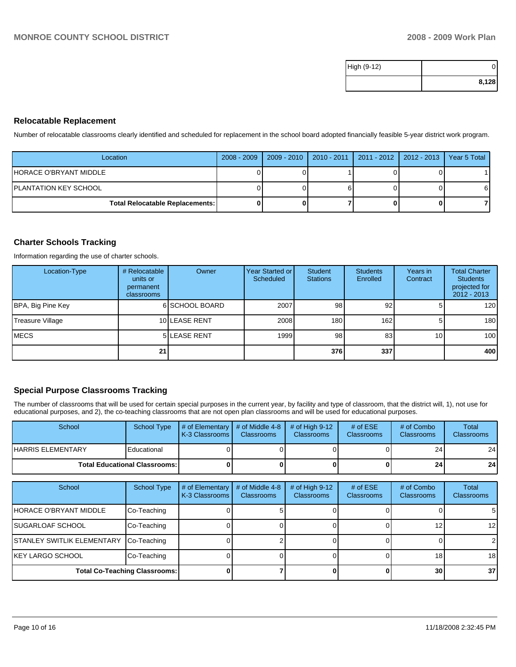| High (9-12) |       |
|-------------|-------|
|             | 8,128 |

# **Relocatable Replacement**

Number of relocatable classrooms clearly identified and scheduled for replacement in the school board adopted financially feasible 5-year district work program.

| Location                               | 2008 - 2009   2009 - 2010 | 2010 - 2011   2011 - 2012   2012 - 2013   Year 5 Total |  |
|----------------------------------------|---------------------------|--------------------------------------------------------|--|
| IHORACE O'BRYANT MIDDLE                |                           |                                                        |  |
| IPLANTATION KEY SCHOOL                 |                           |                                                        |  |
| <b>Total Relocatable Replacements:</b> |                           |                                                        |  |

## **Charter Schools Tracking**

Information regarding the use of charter schools.

| Location-Type     | # Relocatable<br>units or<br>permanent<br>classrooms | Owner          | <b>Year Started or</b><br>Scheduled | <b>Student</b><br><b>Stations</b> | <b>Students</b><br>Enrolled | Years in<br>Contract | <b>Total Charter</b><br><b>Students</b><br>projected for<br>$2012 - 2013$ |
|-------------------|------------------------------------------------------|----------------|-------------------------------------|-----------------------------------|-----------------------------|----------------------|---------------------------------------------------------------------------|
| BPA, Big Pine Key |                                                      | 6 SCHOOL BOARD | 2007                                | 98                                | 92 <sub>l</sub>             |                      | 120                                                                       |
| Treasure Village  |                                                      | 10 LEASE RENT  | 2008                                | 180                               | 162                         | 5                    | 180                                                                       |
| <b>IMECS</b>      |                                                      | 5 LEASE RENT   | 1999                                | 98                                | 83                          | 10 <sub>1</sub>      | 100                                                                       |
|                   | 211                                                  |                |                                     | 376                               | 337                         |                      | 400                                                                       |

## **Special Purpose Classrooms Tracking**

The number of classrooms that will be used for certain special purposes in the current year, by facility and type of classroom, that the district will, 1), not use for educational purposes, and 2), the co-teaching classrooms that are not open plan classrooms and will be used for educational purposes.

| School                                 | <b>School Type</b> | $\parallel$ # of Elementary $\parallel$ # of Middle 4-8 $\parallel$<br><b>K-3 Classrooms</b> | <b>Classrooms</b> | $\#$ of High 9-12<br><b>Classrooms</b> | # of $ESE$<br><b>Classrooms</b> | # of Combo<br><b>Classrooms</b> | Total<br><b>Classrooms</b> |
|----------------------------------------|--------------------|----------------------------------------------------------------------------------------------|-------------------|----------------------------------------|---------------------------------|---------------------------------|----------------------------|
| IHARRIS ELEMENTARY                     | Educational        |                                                                                              |                   |                                        |                                 | 24                              | 24                         |
| <b>Total Educational Classrooms: I</b> |                    |                                                                                              |                   |                                        | 24                              | 24                              |                            |

| School                               | School Type | # of Elementary<br>K-3 Classrooms | # of Middle 4-8<br><b>Classrooms</b> | $#$ of High 9-12<br><b>Classrooms</b> | # of $ESE$<br>Classrooms | # of Combo<br><b>Classrooms</b> | Total<br><b>Classrooms</b> |
|--------------------------------------|-------------|-----------------------------------|--------------------------------------|---------------------------------------|--------------------------|---------------------------------|----------------------------|
| HORACE O'BRYANT MIDDLE               | Co-Teaching |                                   |                                      |                                       |                          |                                 | 5 <sub>l</sub>             |
| <b>ISUGARLOAF SCHOOL</b>             | Co-Teaching |                                   |                                      |                                       |                          | 12                              | 12 <sub>l</sub>            |
| ISTANLEY SWITLIK ELEMENTARY          | Co-Teaching |                                   |                                      |                                       |                          |                                 | $\mathcal{P}$              |
| IKEY LARGO SCHOOL                    | Co-Teaching |                                   |                                      |                                       |                          | 18                              | 18 <sup>1</sup>            |
| <b>Total Co-Teaching Classrooms:</b> |             |                                   |                                      |                                       |                          | 30                              | 37 <sub>l</sub>            |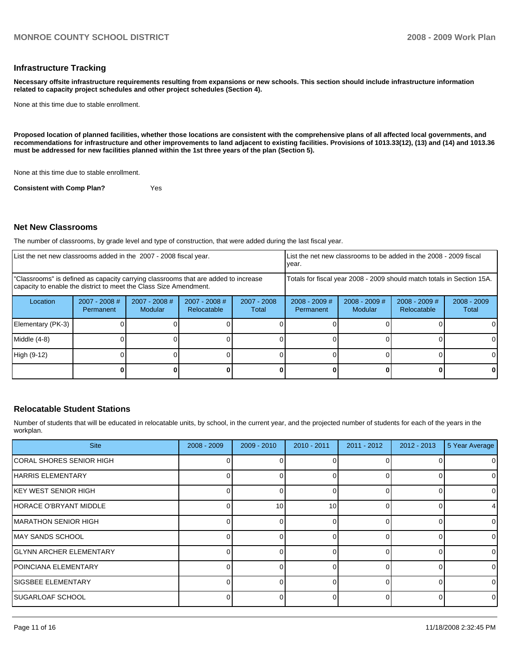#### **Infrastructure Tracking**

**Necessary offsite infrastructure requirements resulting from expansions or new schools. This section should include infrastructure information related to capacity project schedules and other project schedules (Section 4).** 

None at this time due to stable enrollment.

**Proposed location of planned facilities, whether those locations are consistent with the comprehensive plans of all affected local governments, and recommendations for infrastructure and other improvements to land adjacent to existing facilities. Provisions of 1013.33(12), (13) and (14) and 1013.36 must be addressed for new facilities planned within the 1st three years of the plan (Section 5).** 

None at this time due to stable enrollment.

**Consistent with Comp Plan?** Yes

#### **Net New Classrooms**

The number of classrooms, by grade level and type of construction, that were added during the last fiscal year.

| List the net new classrooms added in the 2007 - 2008 fiscal year.                                                                                       |                                     |                                 |                                                        |  | List the net new classrooms to be added in the 2008 - 2009 fiscal<br>year. |                            |                                |                        |
|---------------------------------------------------------------------------------------------------------------------------------------------------------|-------------------------------------|---------------------------------|--------------------------------------------------------|--|----------------------------------------------------------------------------|----------------------------|--------------------------------|------------------------|
| "Classrooms" is defined as capacity carrying classrooms that are added to increase<br>capacity to enable the district to meet the Class Size Amendment. |                                     |                                 |                                                        |  | Totals for fiscal year 2008 - 2009 should match totals in Section 15A.     |                            |                                |                        |
| Location                                                                                                                                                | $2007 - 2008$ #<br><b>Permanent</b> | 2007 - 2008 #<br><b>Modular</b> | 2007 - 2008 #<br>$2007 - 2008$<br>Relocatable<br>Total |  | $2008 - 2009$ #<br>Permanent                                               | $2008 - 2009$ #<br>Modular | $2008 - 2009$ #<br>Relocatable | $2008 - 2009$<br>Total |
| Elementary (PK-3)                                                                                                                                       |                                     |                                 |                                                        |  |                                                                            |                            |                                |                        |
| Middle (4-8)                                                                                                                                            |                                     |                                 |                                                        |  |                                                                            |                            |                                |                        |
| High (9-12)                                                                                                                                             |                                     |                                 |                                                        |  |                                                                            |                            |                                |                        |
|                                                                                                                                                         |                                     |                                 |                                                        |  |                                                                            |                            |                                |                        |

#### **Relocatable Student Stations**

Number of students that will be educated in relocatable units, by school, in the current year, and the projected number of students for each of the years in the workplan.

| <b>Site</b>                     | $2008 - 2009$ | $2009 - 2010$ | $2010 - 2011$ | $2011 - 2012$ | $2012 - 2013$ | 5 Year Average |
|---------------------------------|---------------|---------------|---------------|---------------|---------------|----------------|
| ICORAL SHORES SENIOR HIGH       |               |               |               |               |               | $\mathbf 0$    |
| HARRIS ELEMENTARY               |               | O             |               |               |               | 0              |
| KEY WEST SENIOR HIGH            |               | 0             |               |               | 0             | 0              |
| HORACE O'BRYANT MIDDLE          |               | 10            | 10            |               |               | 4              |
| <b>IMARATHON SENIOR HIGH</b>    |               |               |               |               |               | $\mathbf 0$    |
| MAY SANDS SCHOOL                |               | 0             |               |               |               | 0              |
| <b>IGLYNN ARCHER ELEMENTARY</b> |               |               |               |               |               | $\mathbf 0$    |
| IPOINCIANA ELEMENTARY           |               |               |               |               |               | 0              |
| ISIGSBEE ELEMENTARY             |               | O             |               |               |               | $\Omega$       |
| <b>ISUGARLOAF SCHOOL</b>        |               | O             |               |               | ŋ             | $\mathbf 0$    |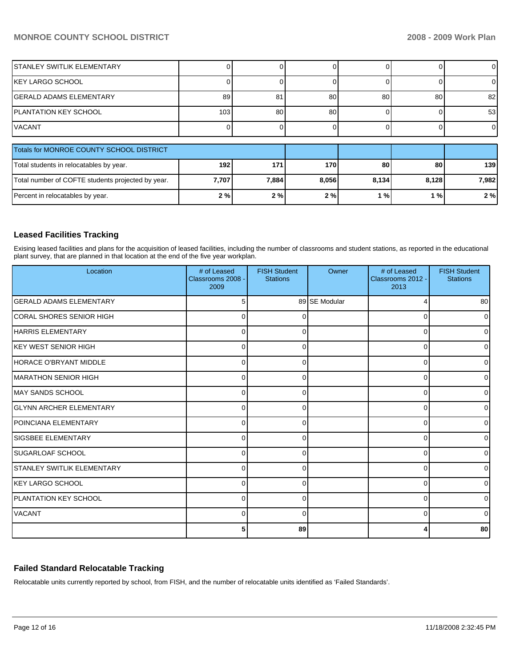# **MONROE COUNTY SCHOOL DISTRICT 2008 - 2009 Work Plan**

| ISTANLEY SWITLIK ELEMENTARY                       |       |       |       |       |       | $\overline{0}$ |
|---------------------------------------------------|-------|-------|-------|-------|-------|----------------|
| IKEY LARGO SCHOOL                                 |       |       |       |       |       | 0              |
| lGERALD ADAMS ELEMENTARY                          | 89    | 81    | 80    | 80    | 80    | 82             |
| IPLANTATION KEY SCHOOL                            | 103   | 80    | 80    |       |       | 53             |
| IVACANT                                           |       |       |       |       |       | $\overline{0}$ |
|                                                   |       |       |       |       |       |                |
| Totals for MONROE COUNTY SCHOOL DISTRICT          |       |       |       |       |       |                |
| Total students in relocatables by year.           | 192   | 171   | 170   | 80    | 80    | 139            |
| Total number of COFTE students projected by year. | 7,707 | 7,884 | 8,056 | 8,134 | 8,128 | 7,982          |
| Percent in relocatables by year.                  | 2%    | 2%    | 2%    | 1%    | 1%    | 2%             |

## **Leased Facilities Tracking**

Exising leased facilities and plans for the acquisition of leased facilities, including the number of classrooms and student stations, as reported in the educational plant survey, that are planned in that location at the end of the five year workplan.

| Location                           | # of Leased<br>Classrooms 2008 -<br>2009 | <b>FISH Student</b><br><b>Stations</b> | Owner         | # of Leased<br>Classrooms 2012 -<br>2013 | <b>FISH Student</b><br><b>Stations</b> |
|------------------------------------|------------------------------------------|----------------------------------------|---------------|------------------------------------------|----------------------------------------|
| <b>GERALD ADAMS ELEMENTARY</b>     | 5                                        |                                        | 89 SE Modular | 4                                        | 80                                     |
| ICORAL SHORES SENIOR HIGH          | 0                                        | 0                                      |               | 0                                        | $\Omega$                               |
| HARRIS ELEMENTARY                  | 0                                        | 0                                      |               | 0                                        | 0                                      |
| IKEY WEST SENIOR HIGH              | 0                                        | 0                                      |               | $\Omega$                                 | $\Omega$                               |
| <b>HORACE O'BRYANT MIDDLE</b>      | $\Omega$                                 | 0                                      |               | 0                                        | 0                                      |
| MARATHON SENIOR HIGH               | 0                                        | 0                                      |               | $\Omega$                                 | 0                                      |
| <b>MAY SANDS SCHOOL</b>            | $\Omega$                                 | $\Omega$                               |               | $\Omega$                                 | 0                                      |
| <b>GLYNN ARCHER ELEMENTARY</b>     | $\Omega$                                 | 0                                      |               | 0                                        | 0                                      |
| <b>IPOINCIANA ELEMENTARY</b>       | $\Omega$                                 | 0                                      |               | 0                                        | $\Omega$                               |
| <b>SIGSBEE ELEMENTARY</b>          | $\Omega$                                 | $\Omega$                               |               | 0                                        | <sup>0</sup>                           |
| <b>SUGARLOAF SCHOOL</b>            | C                                        | ∩                                      |               | $\Omega$                                 | 0                                      |
| <b>ISTANLEY SWITLIK ELEMENTARY</b> | $\Omega$                                 | 0                                      |               | $\Omega$                                 | 0                                      |
| KEY LARGO SCHOOL                   | $\Omega$                                 | 0                                      |               | 0                                        | 0                                      |
| <b>IPLANTATION KEY SCHOOL</b>      | $\Omega$                                 | 0                                      |               | 0                                        | $\Omega$                               |
| <b>VACANT</b>                      | 0                                        | $\Omega$                               |               | $\Omega$                                 | $\Omega$                               |
|                                    | 5                                        | 89                                     |               | 4                                        | 80                                     |

# **Failed Standard Relocatable Tracking**

Relocatable units currently reported by school, from FISH, and the number of relocatable units identified as 'Failed Standards'.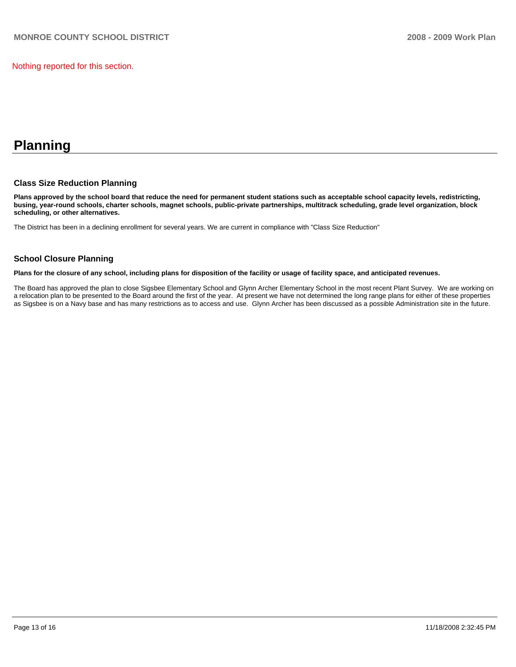Nothing reported for this section.

# **Planning**

## **Class Size Reduction Planning**

**Plans approved by the school board that reduce the need for permanent student stations such as acceptable school capacity levels, redistricting, busing, year-round schools, charter schools, magnet schools, public-private partnerships, multitrack scheduling, grade level organization, block scheduling, or other alternatives.** 

The District has been in a declining enrollment for several years. We are current in compliance with "Class Size Reduction"

# **School Closure Planning**

**Plans for the closure of any school, including plans for disposition of the facility or usage of facility space, and anticipated revenues.** 

The Board has approved the plan to close Sigsbee Elementary School and Glynn Archer Elementary School in the most recent Plant Survey. We are working on a relocation plan to be presented to the Board around the first of the year. At present we have not determined the long range plans for either of these properties as Sigsbee is on a Navy base and has many restrictions as to access and use. Glynn Archer has been discussed as a possible Administration site in the future.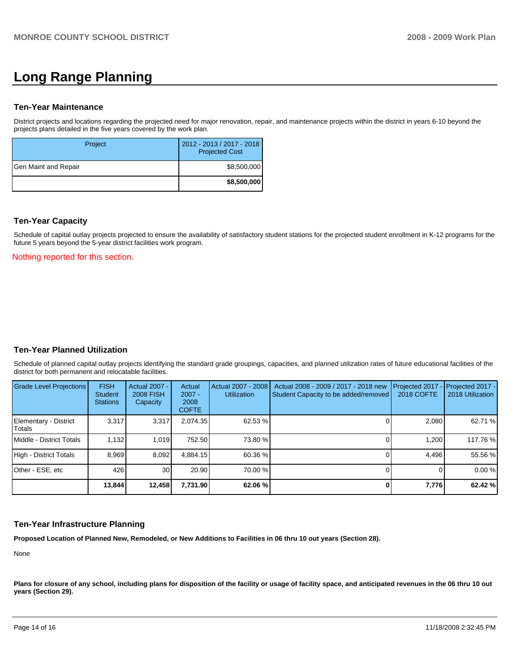# **Long Range Planning**

#### **Ten-Year Maintenance**

District projects and locations regarding the projected need for major renovation, repair, and maintenance projects within the district in years 6-10 beyond the projects plans detailed in the five years covered by the work plan.

| Project              | 2012 - 2013 / 2017 - 2018<br><b>Projected Cost</b> |
|----------------------|----------------------------------------------------|
| Gen Maint and Repair | \$8,500,000                                        |
|                      | \$8,500,000                                        |

#### **Ten-Year Capacity**

Schedule of capital outlay projects projected to ensure the availability of satisfactory student stations for the projected student enrollment in K-12 programs for the future 5 years beyond the 5-year district facilities work program.

Nothing reported for this section.

# **Ten-Year Planned Utilization**

Schedule of planned capital outlay projects identifying the standard grade groupings, capacities, and planned utilization rates of future educational facilities of the district for both permanent and relocatable facilities.

| Grade Level Projections         | <b>FISH</b><br><b>Student</b><br><b>Stations</b> | <b>Actual 2007 -</b><br><b>2008 FISH</b><br>Capacity | Actual<br>$2007 -$<br>2008<br><b>COFTE</b> | Actual 2007 - 2008<br><b>Utilization</b> | Actual 2008 - 2009 / 2017 - 2018 new<br>Student Capacity to be added/removed | Projected 2017 - Projected 2017 -<br>2018 COFTE | 2018 Utilization |
|---------------------------------|--------------------------------------------------|------------------------------------------------------|--------------------------------------------|------------------------------------------|------------------------------------------------------------------------------|-------------------------------------------------|------------------|
| Elementary - District<br>Totals | 3,317                                            | 3,317                                                | 2.074.35                                   | 62.53 %                                  |                                                                              | 2,080                                           | 62.71 %          |
| Middle - District Totals        | 1,132                                            | 1.019                                                | 752.50                                     | 73.80 %                                  |                                                                              | 1.200                                           | 117.76 %         |
| High - District Totals          | 8.969                                            | 8,092                                                | 4.884.15                                   | 60.36 %                                  |                                                                              | 4.496                                           | 55.56 %          |
| Other - ESE, etc                | 426                                              | 30 <sup>1</sup>                                      | 20.90                                      | 70.00 %                                  |                                                                              |                                                 | 0.00%            |
|                                 | 13,844                                           | 12,458                                               | 7,731.90                                   | 62.06 %                                  |                                                                              | 7,776                                           | 62.42 %          |

#### **Ten-Year Infrastructure Planning**

**Proposed Location of Planned New, Remodeled, or New Additions to Facilities in 06 thru 10 out years (Section 28).** 

None

Plans for closure of any school, including plans for disposition of the facility or usage of facility space, and anticipated revenues in the 06 thru 10 out **years (Section 29).**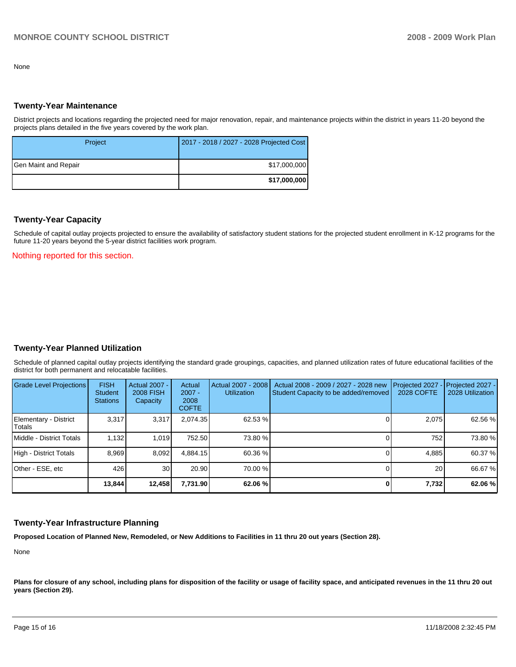None

#### **Twenty-Year Maintenance**

District projects and locations regarding the projected need for major renovation, repair, and maintenance projects within the district in years 11-20 beyond the projects plans detailed in the five years covered by the work plan.

| Project              | 2017 - 2018 / 2027 - 2028 Projected Cost |
|----------------------|------------------------------------------|
| Gen Maint and Repair | \$17,000,000                             |
|                      | \$17,000,000                             |

#### **Twenty-Year Capacity**

Schedule of capital outlay projects projected to ensure the availability of satisfactory student stations for the projected student enrollment in K-12 programs for the future 11-20 years beyond the 5-year district facilities work program.

Nothing reported for this section.

## **Twenty-Year Planned Utilization**

Schedule of planned capital outlay projects identifying the standard grade groupings, capacities, and planned utilization rates of future educational facilities of the district for both permanent and relocatable facilities.

| Grade Level Projections         | <b>FISH</b><br><b>Student</b><br><b>Stations</b> | Actual 2007 -<br><b>2008 FISH</b><br>Capacity | Actual<br>$2007 -$<br>2008<br><b>COFTE</b> | Actual 2007 - 2008<br><b>Utilization</b> | Actual 2008 - 2009 / 2027 - 2028 new<br>Student Capacity to be added/removed | Projected 2027<br>2028 COFTE | $-$ Projected 2027 -<br>2028 Utilization |
|---------------------------------|--------------------------------------------------|-----------------------------------------------|--------------------------------------------|------------------------------------------|------------------------------------------------------------------------------|------------------------------|------------------------------------------|
| Elementary - District<br>Totals | 3.317                                            | 3,317                                         | 2.074.35                                   | 62.53 %                                  |                                                                              | 2.075                        | 62.56 %                                  |
| Middle - District Totals        | 1.132                                            | 1.019                                         | 752.50                                     | 73.80 %                                  |                                                                              | 752                          | 73.80 %                                  |
| High - District Totals          | 8.969                                            | 8.092                                         | 4.884.15                                   | 60.36 %                                  |                                                                              | 4.885                        | 60.37 %                                  |
| Other - ESE, etc                | 426                                              | 30 <sup>1</sup>                               | 20.90                                      | 70.00 %                                  |                                                                              | 20                           | 66.67 %                                  |
|                                 | 13.844                                           | 12,458                                        | 7.731.90                                   | 62.06 %                                  |                                                                              | 7,732                        | 62.06 %                                  |

#### **Twenty-Year Infrastructure Planning**

**Proposed Location of Planned New, Remodeled, or New Additions to Facilities in 11 thru 20 out years (Section 28).** 

None

Plans for closure of any school, including plans for disposition of the facility or usage of facility space, and anticipated revenues in the 11 thru 20 out **years (Section 29).**